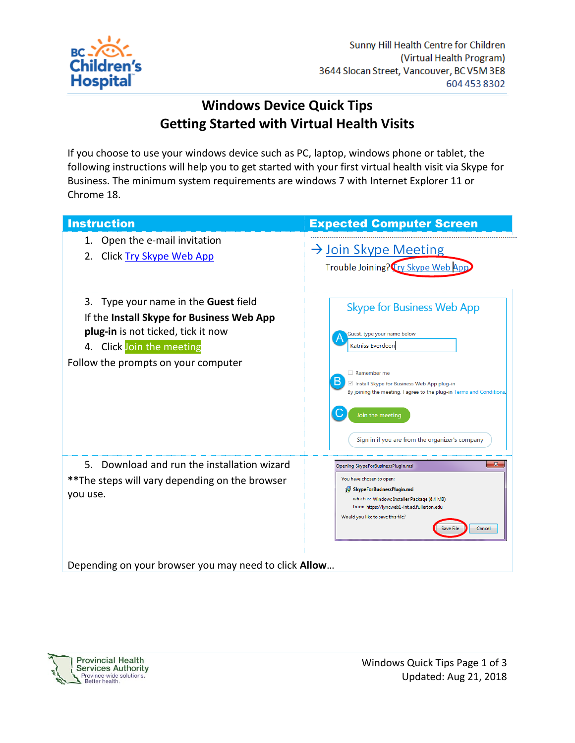

## **Windows Device Quick Tips Getting Started with Virtual Health Visits**

If you choose to use your windows device such as PC, laptop, windows phone or tablet, the following instructions will help you to get started with your first virtual health visit via Skype for Business. The minimum system requirements are windows 7 with Internet Explorer 11 or Chrome 18.

| <b>Instruction</b>                                                                                                                                                                                 | <b>Expected Computer Screen</b>                                                                                                                                                                                                                                                                              |
|----------------------------------------------------------------------------------------------------------------------------------------------------------------------------------------------------|--------------------------------------------------------------------------------------------------------------------------------------------------------------------------------------------------------------------------------------------------------------------------------------------------------------|
| Open the e-mail invitation<br>1.<br>Click Try Skype Web App<br>2.                                                                                                                                  | $\rightarrow$ Join Skype Meeting<br>Trouble Joining? Try Skype Web App                                                                                                                                                                                                                                       |
| 3. Type your name in the <b>Guest</b> field<br>If the Install Skype for Business Web App<br>plug-in is not ticked, tick it now<br>4. Click Join the meeting<br>Follow the prompts on your computer | <b>Skype for Business Web App</b><br>Guest, type your name below<br>Katniss Everdeen<br>$\Box$ Remember me<br>В<br>Install Skype for Business Web App plug-in<br>By joining the meeting, I agree to the plug-in Terms and Conditions.<br>Join the meeting<br>Sign in if you are from the organizer's company |
| 5. Download and run the installation wizard<br>**The steps will vary depending on the browser<br>you use.<br>Depending on your browser you may need to click Allow                                 | $\mathbf{x}$<br>Opening SkypeForBusinessPlugin.msi<br>You have chosen to open:<br>SkypeForBusinessPlugin.msi<br>which is: Windows Installer Package (8.4 MB)<br>from: https://lyncweb1-int.ad.fullerton.edu<br>Would you like to save this file?<br>Cancel<br><b>Save File</b>                               |

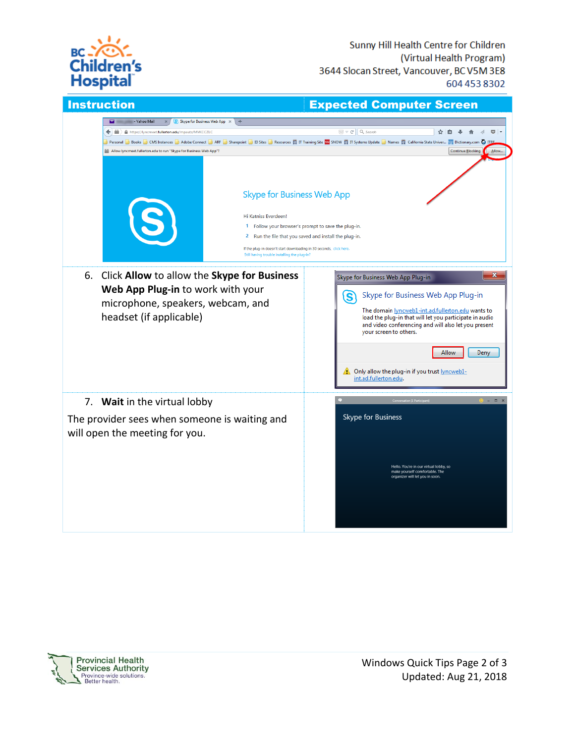

| <b>Instruction</b>                                                                                                                                                                                                                                                                                                                                                                                                                                                                                                                                                                                                                                                                                      | <b>Expected Computer Screen</b>                                                                                                                                                                                                                                                                                                                                                 |
|---------------------------------------------------------------------------------------------------------------------------------------------------------------------------------------------------------------------------------------------------------------------------------------------------------------------------------------------------------------------------------------------------------------------------------------------------------------------------------------------------------------------------------------------------------------------------------------------------------------------------------------------------------------------------------------------------------|---------------------------------------------------------------------------------------------------------------------------------------------------------------------------------------------------------------------------------------------------------------------------------------------------------------------------------------------------------------------------------|
| - Yahoo Mail<br>S Skype for Business Web App $\,\times\,$<br>◘<br>$\times$<br>$+$<br>https://lyncmeet.fullerton.edu/mpautz/MVKCCZLC<br>←<br>Personal Books CMS Instances Adobe Connect ARF Sharepoint DISites Resources CTT Training Site 20 SNOW CTT Systems Update Dames C California State Univer Sa Dictionary.com O TTRE<br>Allow lyncmeet.fullerton.edu to run "Skype for Business Web App"?<br><b>Skype for Business Web App</b><br>Hi Katniss Everdeen!<br>1 Follow your browser's prompt to save the plug-in.<br>2 Run the file that you saved and install the plug-in.<br>If the plug-in doesn't start downloading in 30 seconds, click here.<br>Still having trouble installing the plug-in? | $\textcircled{v}$ $\textcircled{r}$ Q Search<br>☆<br>自<br>Continue Blocking<br>Allow                                                                                                                                                                                                                                                                                            |
| 6.<br>Click Allow to allow the Skype for Business<br>Web App Plug-in to work with your<br>microphone, speakers, webcam, and<br>headset (if applicable)                                                                                                                                                                                                                                                                                                                                                                                                                                                                                                                                                  | x<br>Skype for Business Web App Plug-in<br>Skype for Business Web App Plug-in<br>S<br>The domain lyncweb1-int.ad.fullerton.edu wants to<br>load the plug-in that will let you participate in audio<br>and video conferencing and will also let you present<br>your screen to others.<br>Allow<br>Deny<br>Only allow the plug-in if you trust lyncweb1-<br>int.ad.fullerton.edu. |
| 7. Wait in the virtual lobby<br>The provider sees when someone is waiting and<br>will open the meeting for you.                                                                                                                                                                                                                                                                                                                                                                                                                                                                                                                                                                                         | Conversation (1 Participant)<br>$\bullet - \bullet \times$<br>Skype for Business<br>Hello. You're in our virtual lobby, so<br>make yourself comfortable. The<br>organizer will let you in soon.                                                                                                                                                                                 |